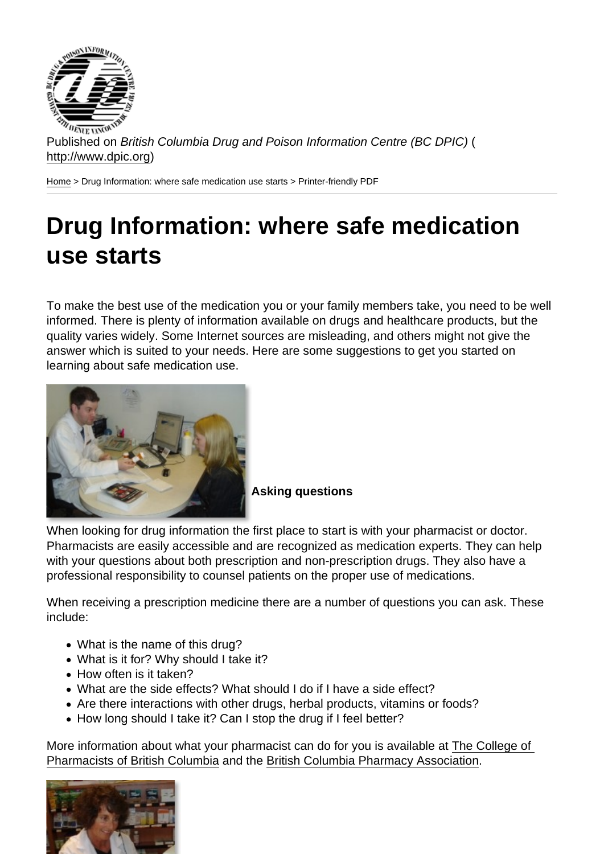Published on British Columbia Drug and Poison Information Centre (BC DPIC) ( http://www.dpic.org)

Home > Drug Information: where safe medication use starts > Printer-friendly PDF

## [Dr](http://www.dpic.org/)ug Information: where safe medication use starts

To make the best use of the medication you or your family members take, you need to be well informed. There is plenty of information available on drugs and healthcare products, but the quality varies widely. Some Internet sources are misleading, and others might not give the answer which is suited to your needs. Here are some suggestions to get you started on learning about safe medication use.

## Asking questions

When looking for drug information the first place to start is with your pharmacist or doctor. Pharmacists are easily accessible and are recognized as medication experts. They can help with your questions about both prescription and non-prescription drugs. They also have a professional responsibility to counsel patients on the proper use of medications.

When receiving a prescription medicine there are a number of questions you can ask. These include:

- What is the name of this drug?
- What is it for? Why should I take it?
- How often is it taken?
- What are the side effects? What should I do if I have a side effect?
- Are there interactions with other drugs, herbal products, vitamins or foods?
- How long should I take it? Can I stop the drug if I feel better?

More information about what your pharmacist can do for you is available at The College of Pharmacists of British Columbia and the British Columbia Pharmacy Association.